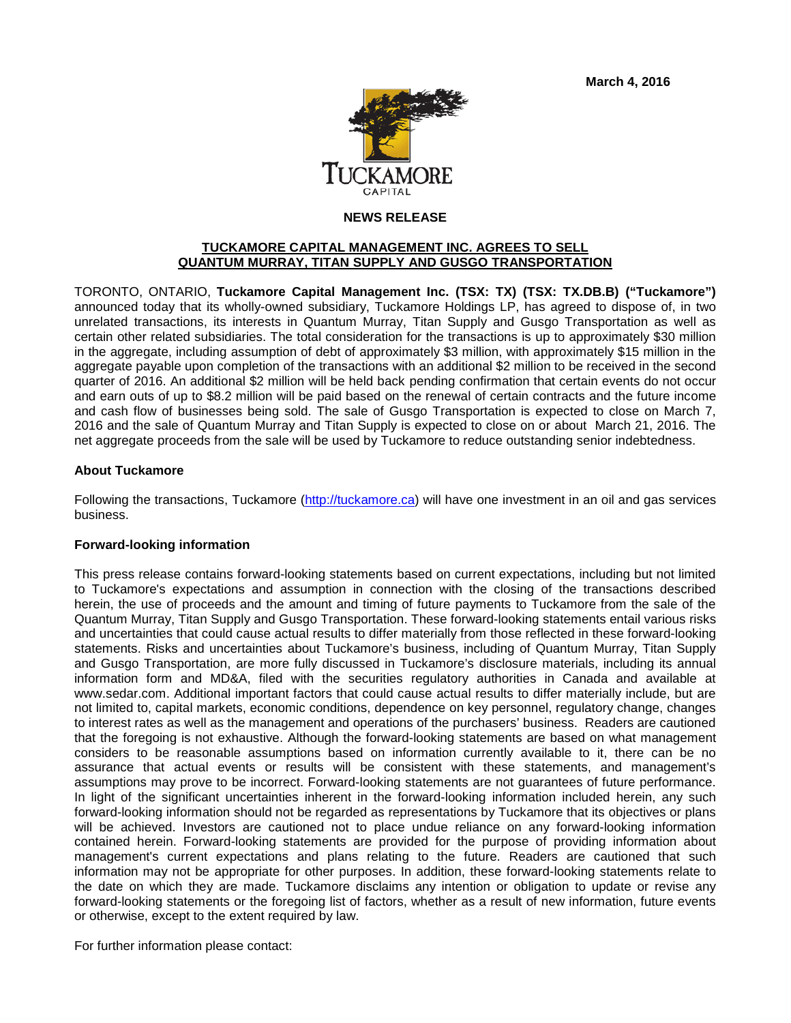**March 4, 2016**



## **NEWS RELEASE**

## **TUCKAMORE CAPITAL MANAGEMENT INC. AGREES TO SELL QUANTUM MURRAY, TITAN SUPPLY AND GUSGO TRANSPORTATION**

TORONTO, ONTARIO, **Tuckamore Capital Management Inc. (TSX: TX) (TSX: TX.DB.B) ("Tuckamore")** announced today that its wholly-owned subsidiary, Tuckamore Holdings LP, has agreed to dispose of, in two unrelated transactions, its interests in Quantum Murray, Titan Supply and Gusgo Transportation as well as certain other related subsidiaries. The total consideration for the transactions is up to approximately \$30 million in the aggregate, including assumption of debt of approximately \$3 million, with approximately \$15 million in the aggregate payable upon completion of the transactions with an additional \$2 million to be received in the second quarter of 2016. An additional \$2 million will be held back pending confirmation that certain events do not occur and earn outs of up to \$8.2 million will be paid based on the renewal of certain contracts and the future income and cash flow of businesses being sold. The sale of Gusgo Transportation is expected to close on March 7, 2016 and the sale of Quantum Murray and Titan Supply is expected to close on or about March 21, 2016. The net aggregate proceeds from the sale will be used by Tuckamore to reduce outstanding senior indebtedness.

## **About Tuckamore**

Following the transactions, Tuckamore [\(http://tuckamore.ca\)](http://tuckamore.ca/) will have one investment in an oil and gas services business.

## **Forward-looking information**

This press release contains forward-looking statements based on current expectations, including but not limited to Tuckamore's expectations and assumption in connection with the closing of the transactions described herein, the use of proceeds and the amount and timing of future payments to Tuckamore from the sale of the Quantum Murray, Titan Supply and Gusgo Transportation. These forward-looking statements entail various risks and uncertainties that could cause actual results to differ materially from those reflected in these forward-looking statements. Risks and uncertainties about Tuckamore's business, including of Quantum Murray, Titan Supply and Gusgo Transportation, are more fully discussed in Tuckamore's disclosure materials, including its annual information form and MD&A, filed with the securities regulatory authorities in Canada and available at www.sedar.com. Additional important factors that could cause actual results to differ materially include, but are not limited to, capital markets, economic conditions, dependence on key personnel, regulatory change, changes to interest rates as well as the management and operations of the purchasers' business. Readers are cautioned that the foregoing is not exhaustive. Although the forward-looking statements are based on what management considers to be reasonable assumptions based on information currently available to it, there can be no assurance that actual events or results will be consistent with these statements, and management's assumptions may prove to be incorrect. Forward-looking statements are not guarantees of future performance. In light of the significant uncertainties inherent in the forward-looking information included herein, any such forward-looking information should not be regarded as representations by Tuckamore that its objectives or plans will be achieved. Investors are cautioned not to place undue reliance on any forward-looking information contained herein. Forward-looking statements are provided for the purpose of providing information about management's current expectations and plans relating to the future. Readers are cautioned that such information may not be appropriate for other purposes. In addition, these forward-looking statements relate to the date on which they are made. Tuckamore disclaims any intention or obligation to update or revise any forward-looking statements or the foregoing list of factors, whether as a result of new information, future events or otherwise, except to the extent required by law.

For further information please contact: